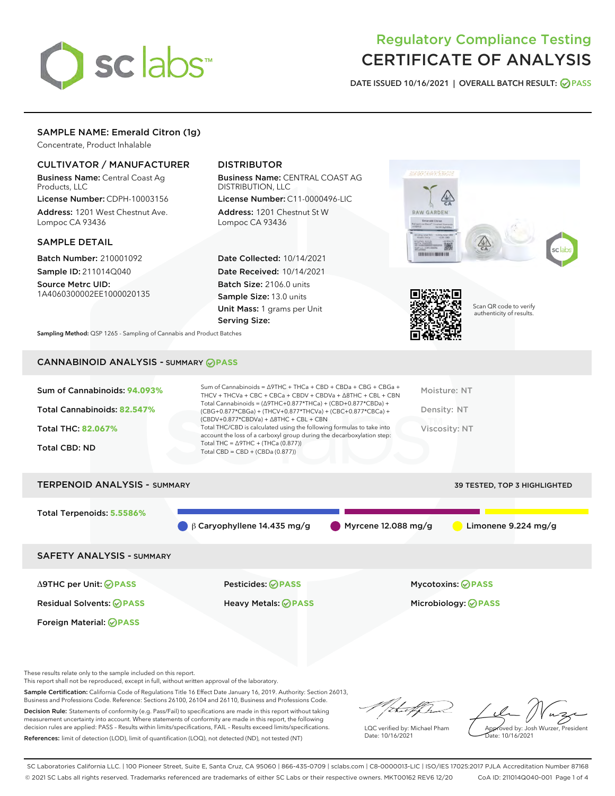

# Regulatory Compliance Testing CERTIFICATE OF ANALYSIS

DATE ISSUED 10/16/2021 | OVERALL BATCH RESULT: @ PASS

### SAMPLE NAME: Emerald Citron (1g)

Concentrate, Product Inhalable

#### CULTIVATOR / MANUFACTURER

Business Name: Central Coast Ag Products, LLC

License Number: CDPH-10003156 Address: 1201 West Chestnut Ave. Lompoc CA 93436

#### SAMPLE DETAIL

Batch Number: 210001092 Sample ID: 211014Q040

Source Metrc UID: 1A4060300002EE1000020135

## DISTRIBUTOR

Business Name: CENTRAL COAST AG DISTRIBUTION, LLC

License Number: C11-0000496-LIC Address: 1201 Chestnut St W Lompoc CA 93436

Date Collected: 10/14/2021 Date Received: 10/14/2021 Batch Size: 2106.0 units Sample Size: 13.0 units Unit Mass: 1 grams per Unit Serving Size:





Scan QR code to verify authenticity of results.

Sampling Method: QSP 1265 - Sampling of Cannabis and Product Batches

# CANNABINOID ANALYSIS - SUMMARY **PASS**

| Total Cannabinoids = $(\Delta$ 9THC+0.877*THCa) + (CBD+0.877*CBDa) +<br>Total Cannabinoids: 82.547%<br>Density: NT<br>(CBG+0.877*CBGa) + (THCV+0.877*THCVa) + (CBC+0.877*CBCa) +<br>$(CBDV+0.877*CBDVa) + \Delta 8THC + CBL + CBN$<br>Total THC/CBD is calculated using the following formulas to take into<br><b>Total THC: 82.067%</b><br>Viscosity: NT<br>account the loss of a carboxyl group during the decarboxylation step:<br>Total THC = $\triangle$ 9THC + (THCa (0.877))<br><b>Total CBD: ND</b><br>Total CBD = $CBD + (CBDa (0.877))$ | Sum of Cannabinoids: 94.093% | Sum of Cannabinoids = $\triangle$ 9THC + THCa + CBD + CBDa + CBG + CBGa +<br>THCV + THCVa + CBC + CBCa + CBDV + CBDVa + $\Delta$ 8THC + CBL + CBN | Moisture: NT |
|---------------------------------------------------------------------------------------------------------------------------------------------------------------------------------------------------------------------------------------------------------------------------------------------------------------------------------------------------------------------------------------------------------------------------------------------------------------------------------------------------------------------------------------------------|------------------------------|---------------------------------------------------------------------------------------------------------------------------------------------------|--------------|
|                                                                                                                                                                                                                                                                                                                                                                                                                                                                                                                                                   |                              |                                                                                                                                                   |              |
|                                                                                                                                                                                                                                                                                                                                                                                                                                                                                                                                                   |                              |                                                                                                                                                   |              |
|                                                                                                                                                                                                                                                                                                                                                                                                                                                                                                                                                   |                              |                                                                                                                                                   |              |

# TERPENOID ANALYSIS - SUMMARY 39 TESTED, TOP 3 HIGHLIGHTED Total Terpenoids: **5.5586%** β Caryophyllene 14.435 mg/g Myrcene 12.088 mg/g Limonene 9.224 mg/g SAFETY ANALYSIS - SUMMARY

Foreign Material: **PASS**

Δ9THC per Unit: **PASS** Pesticides: **PASS** Mycotoxins: **PASS**

Residual Solvents: **PASS** Heavy Metals: **PASS** Microbiology: **PASS**

These results relate only to the sample included on this report.

This report shall not be reproduced, except in full, without written approval of the laboratory.

Sample Certification: California Code of Regulations Title 16 Effect Date January 16, 2019. Authority: Section 26013, Business and Professions Code. Reference: Sections 26100, 26104 and 26110, Business and Professions Code.

Decision Rule: Statements of conformity (e.g. Pass/Fail) to specifications are made in this report without taking measurement uncertainty into account. Where statements of conformity are made in this report, the following decision rules are applied: PASS – Results within limits/specifications, FAIL – Results exceed limits/specifications. References: limit of detection (LOD), limit of quantification (LOQ), not detected (ND), not tested (NT)

:t=4fh

LQC verified by: Michael Pham Date: 10/16/2021

Approved by: Josh Wurzer, President Date: 10/16/2021

SC Laboratories California LLC. | 100 Pioneer Street, Suite E, Santa Cruz, CA 95060 | 866-435-0709 | sclabs.com | C8-0000013-LIC | ISO/IES 17025:2017 PJLA Accreditation Number 87168 © 2021 SC Labs all rights reserved. Trademarks referenced are trademarks of either SC Labs or their respective owners. MKT00162 REV6 12/20 CoA ID: 211014Q040-001 Page 1 of 4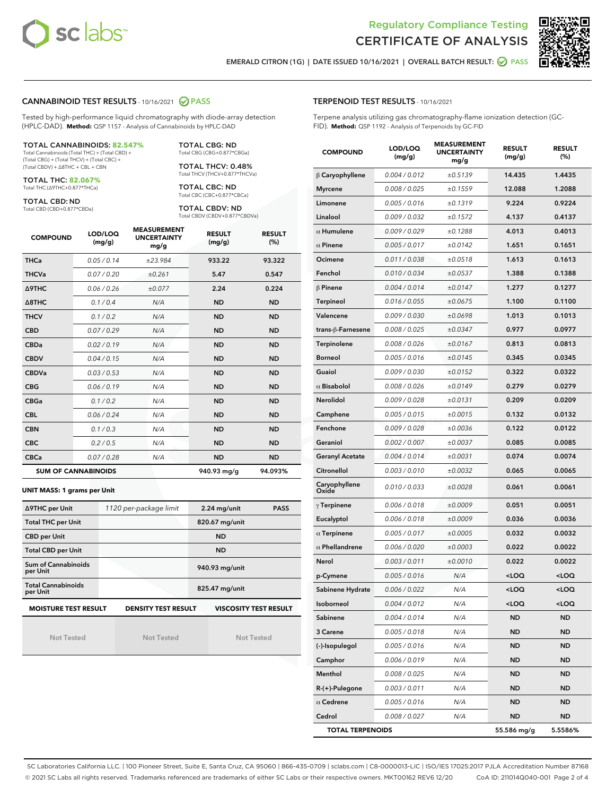



EMERALD CITRON (1G) | DATE ISSUED 10/16/2021 | OVERALL BATCH RESULT: **● PASS** 

#### CANNABINOID TEST RESULTS - 10/16/2021 2 PASS

Tested by high-performance liquid chromatography with diode-array detection (HPLC-DAD). **Method:** QSP 1157 - Analysis of Cannabinoids by HPLC-DAD

#### TOTAL CANNABINOIDS: **82.547%**

Total Cannabinoids (Total THC) + (Total CBD) + (Total CBG) + (Total THCV) + (Total CBC) + (Total CBDV) + ∆8THC + CBL + CBN

TOTAL THC: **82.067%** Total THC (∆9THC+0.877\*THCa)

TOTAL CBD: ND

Total CBD (CBD+0.877\*CBDa)

TOTAL CBG: ND Total CBG (CBG+0.877\*CBGa)

TOTAL THCV: 0.48% Total THCV (THCV+0.877\*THCVa)

TOTAL CBC: ND Total CBC (CBC+0.877\*CBCa)

TOTAL CBDV: ND Total CBDV (CBDV+0.877\*CBDVa)

| <b>COMPOUND</b>            | LOD/LOQ<br>(mg/g) | <b>MEASUREMENT</b><br><b>UNCERTAINTY</b><br>mg/g | <b>RESULT</b><br>(mg/g) | <b>RESULT</b><br>(%) |
|----------------------------|-------------------|--------------------------------------------------|-------------------------|----------------------|
| <b>THCa</b>                | 0.05/0.14         | ±23.984                                          | 933.22                  | 93.322               |
| <b>THCVa</b>               | 0.07 / 0.20       | ±0.261                                           | 5.47                    | 0.547                |
| <b>A9THC</b>               | 0.06 / 0.26       | ±0.077                                           | 2.24                    | 0.224                |
| $\triangle$ 8THC           | 0.1/0.4           | N/A                                              | <b>ND</b>               | <b>ND</b>            |
| <b>THCV</b>                | 0.1/0.2           | N/A                                              | <b>ND</b>               | <b>ND</b>            |
| <b>CBD</b>                 | 0.07/0.29         | N/A                                              | <b>ND</b>               | <b>ND</b>            |
| <b>CBDa</b>                | 0.02/0.19         | N/A                                              | <b>ND</b>               | <b>ND</b>            |
| <b>CBDV</b>                | 0.04 / 0.15       | N/A                                              | <b>ND</b>               | <b>ND</b>            |
| <b>CBDVa</b>               | 0.03/0.53         | N/A                                              | <b>ND</b>               | <b>ND</b>            |
| <b>CBG</b>                 | 0.06/0.19         | N/A                                              | <b>ND</b>               | <b>ND</b>            |
| <b>CBGa</b>                | 0.1 / 0.2         | N/A                                              | <b>ND</b>               | <b>ND</b>            |
| <b>CBL</b>                 | 0.06 / 0.24       | N/A                                              | <b>ND</b>               | <b>ND</b>            |
| <b>CBN</b>                 | 0.1/0.3           | N/A                                              | <b>ND</b>               | <b>ND</b>            |
| <b>CBC</b>                 | 0.2 / 0.5         | N/A                                              | <b>ND</b>               | <b>ND</b>            |
| <b>CBCa</b>                | 0.07 / 0.28       | N/A                                              | <b>ND</b>               | <b>ND</b>            |
| <b>SUM OF CANNABINOIDS</b> |                   |                                                  | 940.93 mg/g             | 94.093%              |

**UNIT MASS: 1 grams per Unit**

| ∆9THC per Unit                        | 1120 per-package limit     | 2.24 mg/unit<br><b>PASS</b>  |
|---------------------------------------|----------------------------|------------------------------|
| <b>Total THC per Unit</b>             |                            | 820.67 mg/unit               |
| <b>CBD per Unit</b>                   |                            | <b>ND</b>                    |
| <b>Total CBD per Unit</b>             |                            | <b>ND</b>                    |
| Sum of Cannabinoids<br>per Unit       |                            | 940.93 mg/unit               |
| <b>Total Cannabinoids</b><br>per Unit |                            | 825.47 mg/unit               |
| <b>MOISTURE TEST RESULT</b>           | <b>DENSITY TEST RESULT</b> | <b>VISCOSITY TEST RESULT</b> |

Not Tested

Not Tested

#### TERPENOID TEST RESULTS - 10/16/2021

Terpene analysis utilizing gas chromatography-flame ionization detection (GC-FID). **Method:** QSP 1192 - Analysis of Terpenoids by GC-FID

| <b>COMPOUND</b>         | LOD/LOQ<br>(mg/g) | <b>MEASUREMENT</b><br><b>UNCERTAINTY</b><br>mg/g | <b>RESULT</b><br>(mg/g)                          | <b>RESULT</b><br>(%) |
|-------------------------|-------------------|--------------------------------------------------|--------------------------------------------------|----------------------|
| $\beta$ Caryophyllene   | 0.004 / 0.012     | ±0.5139                                          | 14.435                                           | 1.4435               |
| <b>Myrcene</b>          | 0.008 / 0.025     | ±0.1559                                          | 12.088                                           | 1.2088               |
| Limonene                | 0.005 / 0.016     | ±0.1319                                          | 9.224                                            | 0.9224               |
| Linalool                | 0.009 / 0.032     | ±0.1572                                          | 4.137                                            | 0.4137               |
| $\alpha$ Humulene       | 0.009 / 0.029     | ±0.1288                                          | 4.013                                            | 0.4013               |
| $\alpha$ Pinene         | 0.005 / 0.017     | ±0.0142                                          | 1.651                                            | 0.1651               |
| Ocimene                 | 0.011 / 0.038     | ±0.0518                                          | 1.613                                            | 0.1613               |
| Fenchol                 | 0.010 / 0.034     | ±0.0537                                          | 1.388                                            | 0.1388               |
| $\beta$ Pinene          | 0.004 / 0.014     | ±0.0147                                          | 1.277                                            | 0.1277               |
| <b>Terpineol</b>        | 0.016 / 0.055     | ±0.0675                                          | 1.100                                            | 0.1100               |
| Valencene               | 0.009 / 0.030     | ±0.0698                                          | 1.013                                            | 0.1013               |
| trans-ß-Farnesene       | 0.008 / 0.025     | ±0.0347                                          | 0.977                                            | 0.0977               |
| Terpinolene             | 0.008 / 0.026     | ±0.0167                                          | 0.813                                            | 0.0813               |
| <b>Borneol</b>          | 0.005 / 0.016     | ±0.0145                                          | 0.345                                            | 0.0345               |
| Guaiol                  | 0.009 / 0.030     | ±0.0152                                          | 0.322                                            | 0.0322               |
| $\alpha$ Bisabolol      | 0.008 / 0.026     | ±0.0149                                          | 0.279                                            | 0.0279               |
| Nerolidol               | 0.009 / 0.028     | ±0.0131                                          | 0.209                                            | 0.0209               |
| Camphene                | 0.005 / 0.015     | ±0.0015                                          | 0.132                                            | 0.0132               |
| Fenchone                | 0.009 / 0.028     | ±0.0036                                          | 0.122                                            | 0.0122               |
| Geraniol                | 0.002 / 0.007     | ±0.0037                                          | 0.085                                            | 0.0085               |
| <b>Geranyl Acetate</b>  | 0.004 / 0.014     | ±0.0031                                          | 0.074                                            | 0.0074               |
| Citronellol             | 0.003 / 0.010     | ±0.0032                                          | 0.065                                            | 0.0065               |
| Caryophyllene<br>Oxide  | 0.010 / 0.033     | ±0.0028                                          | 0.061                                            | 0.0061               |
| $\gamma$ Terpinene      | 0.006 / 0.018     | ±0.0009                                          | 0.051                                            | 0.0051               |
| Eucalyptol              | 0.006 / 0.018     | ±0.0009                                          | 0.036                                            | 0.0036               |
| $\alpha$ Terpinene      | 0.005 / 0.017     | ±0.0005                                          | 0.032                                            | 0.0032               |
| $\alpha$ Phellandrene   | 0.006 / 0.020     | ±0.0003                                          | 0.022                                            | 0.0022               |
| Nerol                   | 0.003 / 0.011     | ±0.0010                                          | 0.022                                            | 0.0022               |
| p-Cymene                | 0.005 / 0.016     | N/A                                              | <loq< th=""><th><loq< th=""></loq<></th></loq<>  | <loq< th=""></loq<>  |
| Sabinene Hydrate        | 0.006 / 0.022     | N/A                                              | $<$ LOQ                                          | <loq< th=""></loq<>  |
| Isoborneol              | 0.004 / 0.012     | N/A                                              | <loq< th=""><th><math>&lt;</math>LOQ</th></loq<> | $<$ LOQ              |
| Sabinene                | 0.004 / 0.014     | N/A                                              | ND                                               | <b>ND</b>            |
| 3 Carene                | 0.005 / 0.018     | N/A                                              | ND                                               | <b>ND</b>            |
| (-)-Isopulegol          | 0.005 / 0.016     | N/A                                              | ND                                               | <b>ND</b>            |
| Camphor                 | 0.006 / 0.019     | N/A                                              | ND                                               | ND                   |
| Menthol                 | 0.008 / 0.025     | N/A                                              | ND                                               | ND                   |
| $R-(+)$ -Pulegone       | 0.003 / 0.011     | N/A                                              | ND                                               | <b>ND</b>            |
| $\alpha$ Cedrene        | 0.005 / 0.016     | N/A                                              | ND                                               | ND                   |
| Cedrol                  | 0.008 / 0.027     | N/A                                              | ND                                               | <b>ND</b>            |
| <b>TOTAL TERPENOIDS</b> |                   |                                                  | 55.586 mg/g                                      | 5.5586%              |

SC Laboratories California LLC. | 100 Pioneer Street, Suite E, Santa Cruz, CA 95060 | 866-435-0709 | sclabs.com | C8-0000013-LIC | ISO/IES 17025:2017 PJLA Accreditation Number 87168 © 2021 SC Labs all rights reserved. Trademarks referenced are trademarks of either SC Labs or their respective owners. MKT00162 REV6 12/20 CoA ID: 211014Q040-001 Page 2 of 4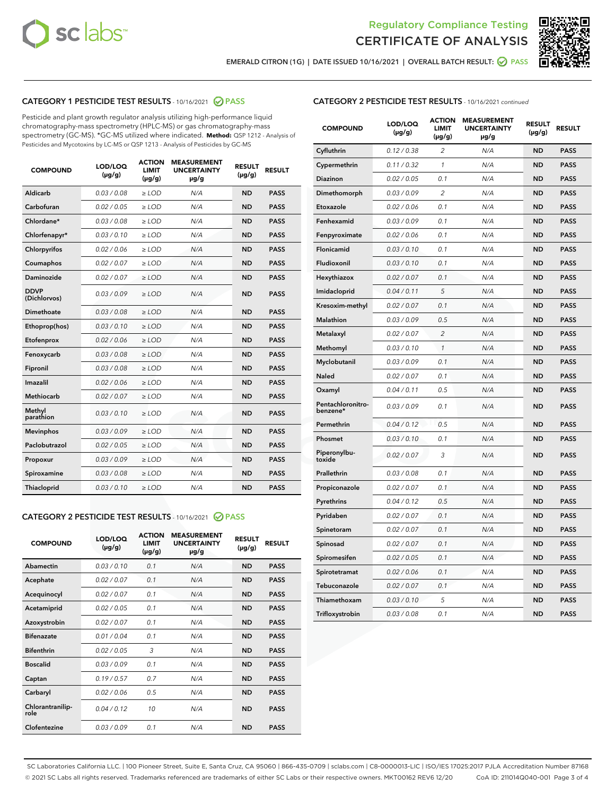



EMERALD CITRON (1G) | DATE ISSUED 10/16/2021 | OVERALL BATCH RESULT:  $\bigcirc$  PASS

# CATEGORY 1 PESTICIDE TEST RESULTS - 10/16/2021 2 PASS

Pesticide and plant growth regulator analysis utilizing high-performance liquid chromatography-mass spectrometry (HPLC-MS) or gas chromatography-mass spectrometry (GC-MS). \*GC-MS utilized where indicated. **Method:** QSP 1212 - Analysis of Pesticides and Mycotoxins by LC-MS or QSP 1213 - Analysis of Pesticides by GC-MS

| <b>COMPOUND</b>             | LOD/LOQ<br>$(\mu g/g)$ | <b>ACTION</b><br><b>LIMIT</b><br>$(\mu g/g)$ | <b>MEASUREMENT</b><br><b>UNCERTAINTY</b><br>$\mu$ g/g | <b>RESULT</b><br>$(\mu g/g)$ | <b>RESULT</b> |
|-----------------------------|------------------------|----------------------------------------------|-------------------------------------------------------|------------------------------|---------------|
| Aldicarb                    | 0.03 / 0.08            | $\ge$ LOD                                    | N/A                                                   | <b>ND</b>                    | <b>PASS</b>   |
| Carbofuran                  | 0.02/0.05              | $>$ LOD                                      | N/A                                                   | <b>ND</b>                    | <b>PASS</b>   |
| Chlordane*                  | 0.03 / 0.08            | $\ge$ LOD                                    | N/A                                                   | <b>ND</b>                    | <b>PASS</b>   |
| Chlorfenapyr*               | 0.03/0.10              | $\ge$ LOD                                    | N/A                                                   | <b>ND</b>                    | <b>PASS</b>   |
| Chlorpyrifos                | 0.02 / 0.06            | $\ge$ LOD                                    | N/A                                                   | <b>ND</b>                    | <b>PASS</b>   |
| Coumaphos                   | 0.02 / 0.07            | $>$ LOD                                      | N/A                                                   | <b>ND</b>                    | <b>PASS</b>   |
| Daminozide                  | 0.02 / 0.07            | $\ge$ LOD                                    | N/A                                                   | <b>ND</b>                    | <b>PASS</b>   |
| <b>DDVP</b><br>(Dichlorvos) | 0.03/0.09              | $\ge$ LOD                                    | N/A                                                   | <b>ND</b>                    | <b>PASS</b>   |
| <b>Dimethoate</b>           | 0.03 / 0.08            | $\ge$ LOD                                    | N/A                                                   | <b>ND</b>                    | <b>PASS</b>   |
| Ethoprop(hos)               | 0.03/0.10              | $>$ LOD                                      | N/A                                                   | <b>ND</b>                    | <b>PASS</b>   |
| Etofenprox                  | 0.02 / 0.06            | $\ge$ LOD                                    | N/A                                                   | <b>ND</b>                    | <b>PASS</b>   |
| Fenoxycarb                  | 0.03 / 0.08            | $>$ LOD                                      | N/A                                                   | <b>ND</b>                    | <b>PASS</b>   |
| Fipronil                    | 0.03 / 0.08            | $\ge$ LOD                                    | N/A                                                   | <b>ND</b>                    | <b>PASS</b>   |
| Imazalil                    | 0.02 / 0.06            | $\ge$ LOD                                    | N/A                                                   | <b>ND</b>                    | <b>PASS</b>   |
| Methiocarb                  | 0.02 / 0.07            | $\ge$ LOD                                    | N/A                                                   | <b>ND</b>                    | <b>PASS</b>   |
| Methyl<br>parathion         | 0.03/0.10              | $>$ LOD                                      | N/A                                                   | <b>ND</b>                    | <b>PASS</b>   |
| <b>Mevinphos</b>            | 0.03/0.09              | $>$ LOD                                      | N/A                                                   | <b>ND</b>                    | <b>PASS</b>   |
| Paclobutrazol               | 0.02 / 0.05            | $\ge$ LOD                                    | N/A                                                   | <b>ND</b>                    | <b>PASS</b>   |
| Propoxur                    | 0.03/0.09              | $\ge$ LOD                                    | N/A                                                   | <b>ND</b>                    | <b>PASS</b>   |
| Spiroxamine                 | 0.03 / 0.08            | $\ge$ LOD                                    | N/A                                                   | <b>ND</b>                    | <b>PASS</b>   |
| <b>Thiacloprid</b>          | 0.03/0.10              | $\ge$ LOD                                    | N/A                                                   | <b>ND</b>                    | <b>PASS</b>   |
|                             |                        |                                              |                                                       |                              |               |

# CATEGORY 2 PESTICIDE TEST RESULTS - 10/16/2021 @ PASS

| <b>ACTION</b><br><b>MEASUREMENT</b><br>LOD/LOO<br><b>RESULT</b><br><b>RESULT</b><br><b>UNCERTAINTY</b><br><b>COMPOUND</b><br>LIMIT<br>$(\mu g/g)$<br>$(\mu g/g)$<br>$(\mu g/g)$<br>$\mu$ g/g<br>Abamectin<br>0.03/0.10<br>0.1<br><b>ND</b><br><b>PASS</b><br>N/A<br>0.02/0.07<br>0.1<br>N/A<br><b>ND</b><br><b>PASS</b><br>Acephate<br>0.02/0.07<br>0.1<br>N/A<br><b>ND</b><br><b>PASS</b><br>Acequinocyl |  |
|-----------------------------------------------------------------------------------------------------------------------------------------------------------------------------------------------------------------------------------------------------------------------------------------------------------------------------------------------------------------------------------------------------------|--|
|                                                                                                                                                                                                                                                                                                                                                                                                           |  |
|                                                                                                                                                                                                                                                                                                                                                                                                           |  |
|                                                                                                                                                                                                                                                                                                                                                                                                           |  |
|                                                                                                                                                                                                                                                                                                                                                                                                           |  |
| 0.02/0.05<br><b>ND</b><br>0.1<br>N/A<br><b>PASS</b><br>Acetamiprid                                                                                                                                                                                                                                                                                                                                        |  |
| 0.02/0.07<br>0.1<br><b>ND</b><br><b>PASS</b><br>Azoxystrobin<br>N/A                                                                                                                                                                                                                                                                                                                                       |  |
| <b>Bifenazate</b><br>0.01/0.04<br>0.1<br>N/A<br><b>ND</b><br><b>PASS</b>                                                                                                                                                                                                                                                                                                                                  |  |
| <b>Bifenthrin</b><br>0.02/0.05<br>3<br>N/A<br><b>ND</b><br><b>PASS</b>                                                                                                                                                                                                                                                                                                                                    |  |
| <b>Boscalid</b><br>0.03/0.09<br>0.1<br><b>ND</b><br>N/A<br><b>PASS</b>                                                                                                                                                                                                                                                                                                                                    |  |
| 0.19/0.57<br>0.7<br>N/A<br><b>ND</b><br><b>PASS</b><br>Captan                                                                                                                                                                                                                                                                                                                                             |  |
| <b>ND</b><br>0.02/0.06<br>0.5<br>N/A<br><b>PASS</b><br>Carbaryl                                                                                                                                                                                                                                                                                                                                           |  |
| Chlorantranilip-<br>0.04/0.12<br>10<br>N/A<br><b>ND</b><br><b>PASS</b><br>role                                                                                                                                                                                                                                                                                                                            |  |
| Clofentezine<br>0.03/0.09<br>0.1<br>N/A<br><b>ND</b><br><b>PASS</b>                                                                                                                                                                                                                                                                                                                                       |  |

| <b>CATEGORY 2 PESTICIDE TEST RESULTS</b> - 10/16/2021 continued |
|-----------------------------------------------------------------|
|-----------------------------------------------------------------|

| <b>COMPOUND</b>               | LOD/LOQ<br>(µg/g) | <b>ACTION</b><br><b>LIMIT</b><br>$(\mu g/g)$ | <b>MEASUREMENT</b><br><b>UNCERTAINTY</b><br>µg/g | <b>RESULT</b><br>(µg/g) | <b>RESULT</b> |
|-------------------------------|-------------------|----------------------------------------------|--------------------------------------------------|-------------------------|---------------|
| Cyfluthrin                    | 0.12 / 0.38       | $\overline{\mathcal{L}}$                     | N/A                                              | ND                      | <b>PASS</b>   |
| Cypermethrin                  | 0.11 / 0.32       | 1                                            | N/A                                              | <b>ND</b>               | <b>PASS</b>   |
| Diazinon                      | 0.02 / 0.05       | 0.1                                          | N/A                                              | <b>ND</b>               | <b>PASS</b>   |
| Dimethomorph                  | 0.03 / 0.09       | 2                                            | N/A                                              | ND                      | <b>PASS</b>   |
| Etoxazole                     | 0.02 / 0.06       | 0.1                                          | N/A                                              | <b>ND</b>               | <b>PASS</b>   |
| Fenhexamid                    | 0.03 / 0.09       | 0.1                                          | N/A                                              | <b>ND</b>               | <b>PASS</b>   |
| Fenpyroximate                 | 0.02 / 0.06       | 0.1                                          | N/A                                              | ND                      | <b>PASS</b>   |
| Flonicamid                    | 0.03 / 0.10       | 0.1                                          | N/A                                              | ND                      | <b>PASS</b>   |
| Fludioxonil                   | 0.03 / 0.10       | 0.1                                          | N/A                                              | <b>ND</b>               | <b>PASS</b>   |
| Hexythiazox                   | 0.02 / 0.07       | 0.1                                          | N/A                                              | <b>ND</b>               | <b>PASS</b>   |
| Imidacloprid                  | 0.04 / 0.11       | 5                                            | N/A                                              | ND                      | <b>PASS</b>   |
| Kresoxim-methyl               | 0.02 / 0.07       | 0.1                                          | N/A                                              | <b>ND</b>               | <b>PASS</b>   |
| Malathion                     | 0.03 / 0.09       | 0.5                                          | N/A                                              | ND                      | <b>PASS</b>   |
| Metalaxyl                     | 0.02 / 0.07       | $\overline{2}$                               | N/A                                              | ND                      | <b>PASS</b>   |
| Methomyl                      | 0.03 / 0.10       | 1                                            | N/A                                              | <b>ND</b>               | <b>PASS</b>   |
| Myclobutanil                  | 0.03 / 0.09       | 0.1                                          | N/A                                              | <b>ND</b>               | <b>PASS</b>   |
| Naled                         | 0.02 / 0.07       | 0.1                                          | N/A                                              | ND                      | <b>PASS</b>   |
| Oxamyl                        | 0.04 / 0.11       | 0.5                                          | N/A                                              | ND                      | <b>PASS</b>   |
| Pentachloronitro-<br>benzene* | 0.03 / 0.09       | 0.1                                          | N/A                                              | <b>ND</b>               | <b>PASS</b>   |
| Permethrin                    | 0.04 / 0.12       | 0.5                                          | N/A                                              | ND                      | <b>PASS</b>   |
| Phosmet                       | 0.03/0.10         | 0.1                                          | N/A                                              | ND                      | <b>PASS</b>   |
| Piperonylbu-<br>toxide        | 0.02 / 0.07       | 3                                            | N/A                                              | ND                      | <b>PASS</b>   |
| Prallethrin                   | 0.03 / 0.08       | 0.1                                          | N/A                                              | ND                      | <b>PASS</b>   |
| Propiconazole                 | 0.02 / 0.07       | 0.1                                          | N/A                                              | ND                      | <b>PASS</b>   |
| Pyrethrins                    | 0.04 / 0.12       | 0.5                                          | N/A                                              | ND                      | <b>PASS</b>   |
| Pyridaben                     | 0.02 / 0.07       | 0.1                                          | N/A                                              | <b>ND</b>               | <b>PASS</b>   |
| Spinetoram                    | 0.02 / 0.07       | 0.1                                          | N/A                                              | ND                      | <b>PASS</b>   |
| Spinosad                      | 0.02 / 0.07       | 0.1                                          | N/A                                              | ND                      | <b>PASS</b>   |
| Spiromesifen                  | 0.02 / 0.05       | 0.1                                          | N/A                                              | ND                      | <b>PASS</b>   |
| Spirotetramat                 | 0.02 / 0.06       | 0.1                                          | N/A                                              | ND                      | <b>PASS</b>   |
| Tebuconazole                  | 0.02 / 0.07       | 0.1                                          | N/A                                              | ND                      | <b>PASS</b>   |
| Thiamethoxam                  | 0.03 / 0.10       | 5                                            | N/A                                              | ND                      | <b>PASS</b>   |
| Trifloxystrobin               | 0.03 / 0.08       | 0.1                                          | N/A                                              | ND                      | <b>PASS</b>   |

SC Laboratories California LLC. | 100 Pioneer Street, Suite E, Santa Cruz, CA 95060 | 866-435-0709 | sclabs.com | C8-0000013-LIC | ISO/IES 17025:2017 PJLA Accreditation Number 87168 © 2021 SC Labs all rights reserved. Trademarks referenced are trademarks of either SC Labs or their respective owners. MKT00162 REV6 12/20 CoA ID: 211014Q040-001 Page 3 of 4